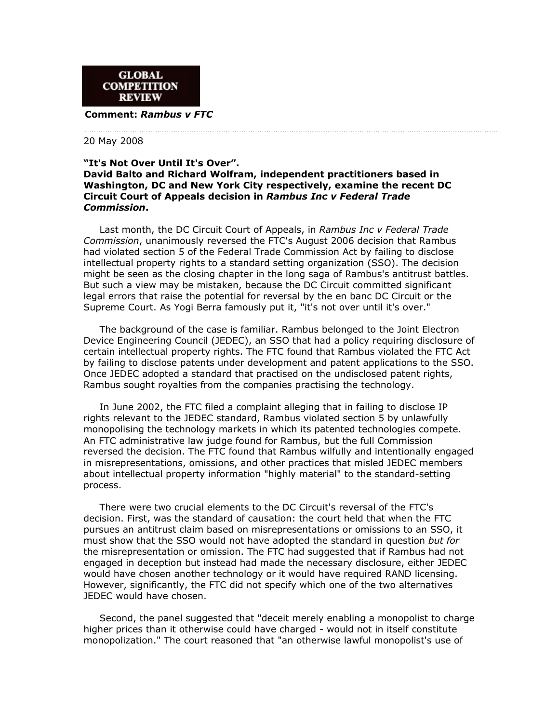

## **Comment:** *Rambus v FTC*

## 20 May 2008

## **"It's Not Over Until It's Over". David Balto and Richard Wolfram, independent practitioners based in Washington, DC and New York City respectively, examine the recent DC Circuit Court of Appeals decision in** *Rambus Inc v Federal Trade Commission***.**

 Last month, the DC Circuit Court of Appeals, in *Rambus Inc v Federal Trade Commission*, unanimously reversed the FTC's August 2006 decision that Rambus had violated section 5 of the Federal Trade Commission Act by failing to disclose intellectual property rights to a standard setting organization (SSO). The decision might be seen as the closing chapter in the long saga of Rambus's antitrust battles. But such a view may be mistaken, because the DC Circuit committed significant legal errors that raise the potential for reversal by the en banc DC Circuit or the Supreme Court. As Yogi Berra famously put it, "it's not over until it's over."

 The background of the case is familiar. Rambus belonged to the Joint Electron Device Engineering Council (JEDEC), an SSO that had a policy requiring disclosure of certain intellectual property rights. The FTC found that Rambus violated the FTC Act by failing to disclose patents under development and patent applications to the SSO. Once JEDEC adopted a standard that practised on the undisclosed patent rights, Rambus sought royalties from the companies practising the technology.

 In June 2002, the FTC filed a complaint alleging that in failing to disclose IP rights relevant to the JEDEC standard, Rambus violated section 5 by unlawfully monopolising the technology markets in which its patented technologies compete. An FTC administrative law judge found for Rambus, but the full Commission reversed the decision. The FTC found that Rambus wilfully and intentionally engaged in misrepresentations, omissions, and other practices that misled JEDEC members about intellectual property information "highly material" to the standard-setting process.

 There were two crucial elements to the DC Circuit's reversal of the FTC's decision. First, was the standard of causation: the court held that when the FTC pursues an antitrust claim based on misrepresentations or omissions to an SSO, it must show that the SSO would not have adopted the standard in question *but for* the misrepresentation or omission. The FTC had suggested that if Rambus had not engaged in deception but instead had made the necessary disclosure, either JEDEC would have chosen another technology or it would have required RAND licensing. However, significantly, the FTC did not specify which one of the two alternatives JEDEC would have chosen.

 Second, the panel suggested that "deceit merely enabling a monopolist to charge higher prices than it otherwise could have charged - would not in itself constitute monopolization." The court reasoned that "an otherwise lawful monopolist's use of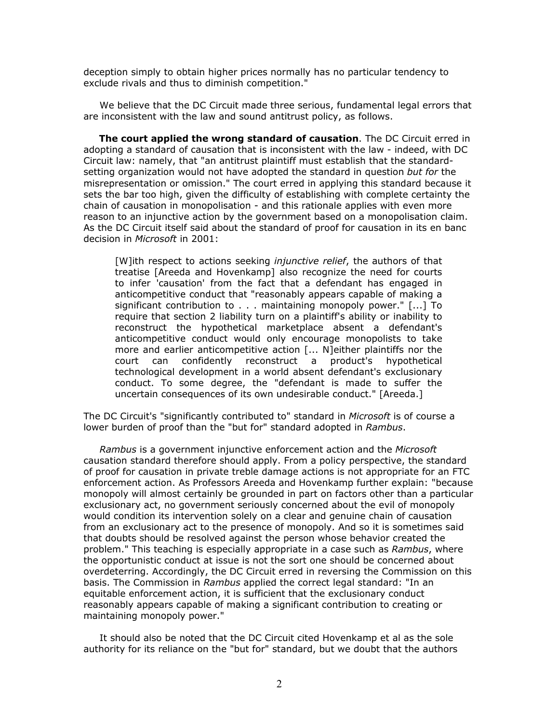deception simply to obtain higher prices normally has no particular tendency to exclude rivals and thus to diminish competition."

 We believe that the DC Circuit made three serious, fundamental legal errors that are inconsistent with the law and sound antitrust policy, as follows.

 **The court applied the wrong standard of causation**. The DC Circuit erred in adopting a standard of causation that is inconsistent with the law - indeed, with DC Circuit law: namely, that "an antitrust plaintiff must establish that the standardsetting organization would not have adopted the standard in question *but for* the misrepresentation or omission." The court erred in applying this standard because it sets the bar too high, given the difficulty of establishing with complete certainty the chain of causation in monopolisation - and this rationale applies with even more reason to an injunctive action by the government based on a monopolisation claim. As the DC Circuit itself said about the standard of proof for causation in its en banc decision in *Microsoft* in 2001:

[W]ith respect to actions seeking *injunctive relief*, the authors of that treatise [Areeda and Hovenkamp] also recognize the need for courts to infer 'causation' from the fact that a defendant has engaged in anticompetitive conduct that "reasonably appears capable of making a significant contribution to  $\dots$  maintaining monopoly power."  $[\dots]$  To require that section 2 liability turn on a plaintiff's ability or inability to reconstruct the hypothetical marketplace absent a defendant's anticompetitive conduct would only encourage monopolists to take more and earlier anticompetitive action [... N]either plaintiffs nor the court can confidently reconstruct a product's hypothetical technological development in a world absent defendant's exclusionary conduct. To some degree, the "defendant is made to suffer the uncertain consequences of its own undesirable conduct." [Areeda.]

The DC Circuit's "significantly contributed to" standard in *Microsoft* is of course a lower burden of proof than the "but for" standard adopted in *Rambus*.

 *Rambus* is a government injunctive enforcement action and the *Microsoft* causation standard therefore should apply. From a policy perspective, the standard of proof for causation in private treble damage actions is not appropriate for an FTC enforcement action. As Professors Areeda and Hovenkamp further explain: "because monopoly will almost certainly be grounded in part on factors other than a particular exclusionary act, no government seriously concerned about the evil of monopoly would condition its intervention solely on a clear and genuine chain of causation from an exclusionary act to the presence of monopoly. And so it is sometimes said that doubts should be resolved against the person whose behavior created the problem." This teaching is especially appropriate in a case such as *Rambus*, where the opportunistic conduct at issue is not the sort one should be concerned about overdeterring. Accordingly, the DC Circuit erred in reversing the Commission on this basis. The Commission in *Rambus* applied the correct legal standard: "In an equitable enforcement action, it is sufficient that the exclusionary conduct reasonably appears capable of making a significant contribution to creating or maintaining monopoly power."

 It should also be noted that the DC Circuit cited Hovenkamp et al as the sole authority for its reliance on the "but for" standard, but we doubt that the authors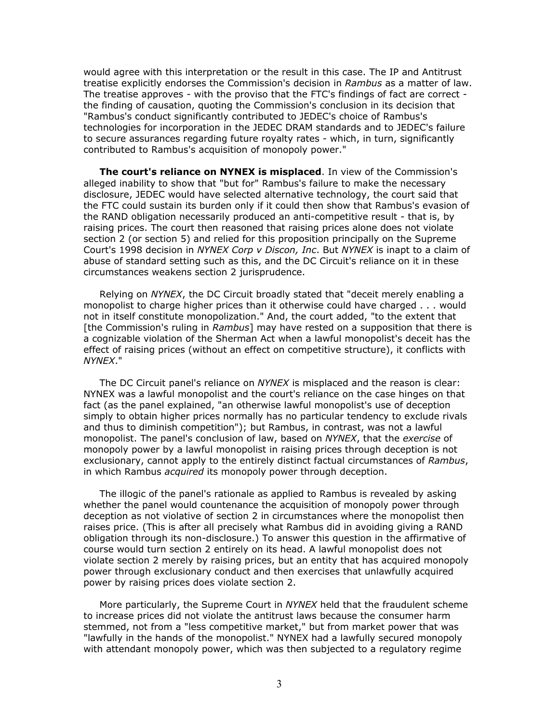would agree with this interpretation or the result in this case. The IP and Antitrust treatise explicitly endorses the Commission's decision in *Rambus* as a matter of law. The treatise approves - with the proviso that the FTC's findings of fact are correct the finding of causation, quoting the Commission's conclusion in its decision that "Rambus's conduct significantly contributed to JEDEC's choice of Rambus's technologies for incorporation in the JEDEC DRAM standards and to JEDEC's failure to secure assurances regarding future royalty rates - which, in turn, significantly contributed to Rambus's acquisition of monopoly power."

 **The court's reliance on NYNEX is misplaced**. In view of the Commission's alleged inability to show that "but for" Rambus's failure to make the necessary disclosure, JEDEC would have selected alternative technology, the court said that the FTC could sustain its burden only if it could then show that Rambus's evasion of the RAND obligation necessarily produced an anti-competitive result - that is, by raising prices. The court then reasoned that raising prices alone does not violate section 2 (or section 5) and relied for this proposition principally on the Supreme Court's 1998 decision in *NYNEX Corp v Discon, Inc*. But *NYNEX* is inapt to a claim of abuse of standard setting such as this, and the DC Circuit's reliance on it in these circumstances weakens section 2 jurisprudence.

 Relying on *NYNEX*, the DC Circuit broadly stated that "deceit merely enabling a monopolist to charge higher prices than it otherwise could have charged . . . would not in itself constitute monopolization." And, the court added, "to the extent that [the Commission's ruling in *Rambus*] may have rested on a supposition that there is a cognizable violation of the Sherman Act when a lawful monopolist's deceit has the effect of raising prices (without an effect on competitive structure), it conflicts with *NYNEX*."

 The DC Circuit panel's reliance on *NYNEX* is misplaced and the reason is clear: NYNEX was a lawful monopolist and the court's reliance on the case hinges on that fact (as the panel explained, "an otherwise lawful monopolist's use of deception simply to obtain higher prices normally has no particular tendency to exclude rivals and thus to diminish competition"); but Rambus, in contrast, was not a lawful monopolist. The panel's conclusion of law, based on *NYNEX*, that the *exercise* of monopoly power by a lawful monopolist in raising prices through deception is not exclusionary, cannot apply to the entirely distinct factual circumstances of *Rambus*, in which Rambus *acquired* its monopoly power through deception.

 The illogic of the panel's rationale as applied to Rambus is revealed by asking whether the panel would countenance the acquisition of monopoly power through deception as not violative of section 2 in circumstances where the monopolist then raises price. (This is after all precisely what Rambus did in avoiding giving a RAND obligation through its non-disclosure.) To answer this question in the affirmative of course would turn section 2 entirely on its head. A lawful monopolist does not violate section 2 merely by raising prices, but an entity that has acquired monopoly power through exclusionary conduct and then exercises that unlawfully acquired power by raising prices does violate section 2.

 More particularly, the Supreme Court in *NYNEX* held that the fraudulent scheme to increase prices did not violate the antitrust laws because the consumer harm stemmed, not from a "less competitive market," but from market power that was "lawfully in the hands of the monopolist." NYNEX had a lawfully secured monopoly with attendant monopoly power, which was then subjected to a regulatory regime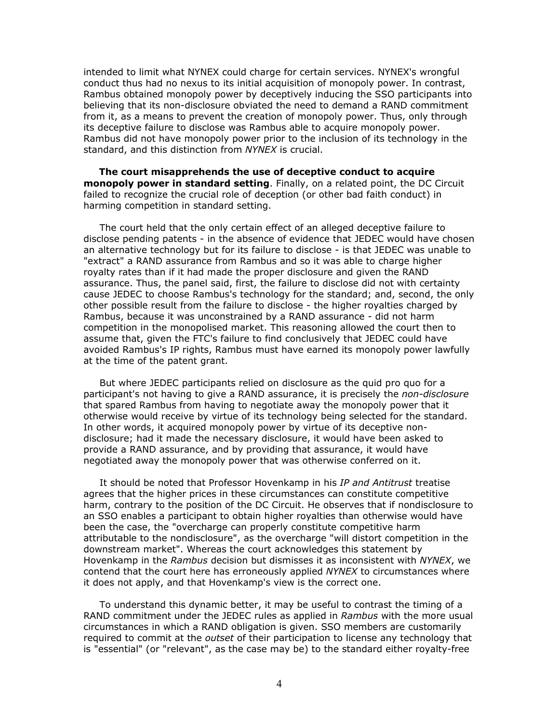intended to limit what NYNEX could charge for certain services. NYNEX's wrongful conduct thus had no nexus to its initial acquisition of monopoly power. In contrast, Rambus obtained monopoly power by deceptively inducing the SSO participants into believing that its non-disclosure obviated the need to demand a RAND commitment from it, as a means to prevent the creation of monopoly power. Thus, only through its deceptive failure to disclose was Rambus able to acquire monopoly power. Rambus did not have monopoly power prior to the inclusion of its technology in the standard, and this distinction from *NYNEX* is crucial.

 **The court misapprehends the use of deceptive conduct to acquire monopoly power in standard setting**. Finally, on a related point, the DC Circuit failed to recognize the crucial role of deception (or other bad faith conduct) in harming competition in standard setting.

 The court held that the only certain effect of an alleged deceptive failure to disclose pending patents - in the absence of evidence that JEDEC would have chosen an alternative technology but for its failure to disclose - is that JEDEC was unable to "extract" a RAND assurance from Rambus and so it was able to charge higher royalty rates than if it had made the proper disclosure and given the RAND assurance. Thus, the panel said, first, the failure to disclose did not with certainty cause JEDEC to choose Rambus's technology for the standard; and, second, the only other possible result from the failure to disclose - the higher royalties charged by Rambus, because it was unconstrained by a RAND assurance - did not harm competition in the monopolised market. This reasoning allowed the court then to assume that, given the FTC's failure to find conclusively that JEDEC could have avoided Rambus's IP rights, Rambus must have earned its monopoly power lawfully at the time of the patent grant.

 But where JEDEC participants relied on disclosure as the quid pro quo for a participant's not having to give a RAND assurance, it is precisely the *non-disclosure* that spared Rambus from having to negotiate away the monopoly power that it otherwise would receive by virtue of its technology being selected for the standard. In other words, it acquired monopoly power by virtue of its deceptive nondisclosure; had it made the necessary disclosure, it would have been asked to provide a RAND assurance, and by providing that assurance, it would have negotiated away the monopoly power that was otherwise conferred on it.

 It should be noted that Professor Hovenkamp in his *IP and Antitrust* treatise agrees that the higher prices in these circumstances can constitute competitive harm, contrary to the position of the DC Circuit. He observes that if nondisclosure to an SSO enables a participant to obtain higher royalties than otherwise would have been the case, the "overcharge can properly constitute competitive harm attributable to the nondisclosure", as the overcharge "will distort competition in the downstream market". Whereas the court acknowledges this statement by Hovenkamp in the *Rambus* decision but dismisses it as inconsistent with *NYNEX*, we contend that the court here has erroneously applied *NYNEX* to circumstances where it does not apply, and that Hovenkamp's view is the correct one.

 To understand this dynamic better, it may be useful to contrast the timing of a RAND commitment under the JEDEC rules as applied in *Rambus* with the more usual circumstances in which a RAND obligation is given. SSO members are customarily required to commit at the *outset* of their participation to license any technology that is "essential" (or "relevant", as the case may be) to the standard either royalty-free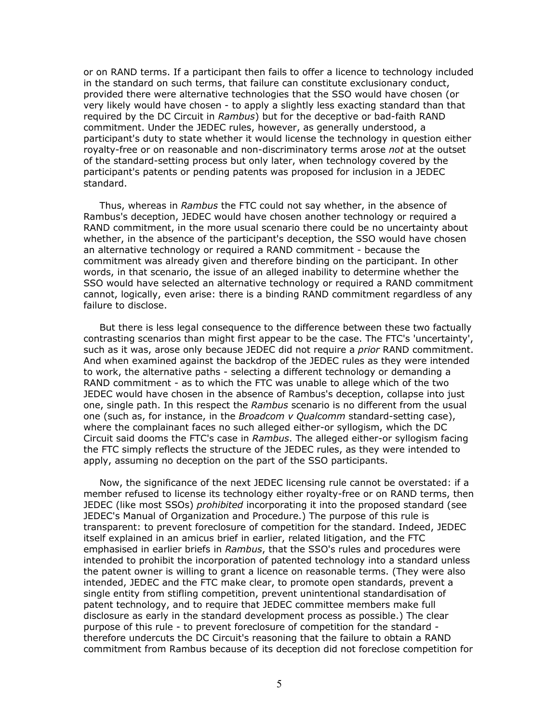or on RAND terms. If a participant then fails to offer a licence to technology included in the standard on such terms, that failure can constitute exclusionary conduct, provided there were alternative technologies that the SSO would have chosen (or very likely would have chosen - to apply a slightly less exacting standard than that required by the DC Circuit in *Rambus*) but for the deceptive or bad-faith RAND commitment. Under the JEDEC rules, however, as generally understood, a participant's duty to state whether it would license the technology in question either royalty-free or on reasonable and non-discriminatory terms arose *not* at the outset of the standard-setting process but only later, when technology covered by the participant's patents or pending patents was proposed for inclusion in a JEDEC standard.

 Thus, whereas in *Rambus* the FTC could not say whether, in the absence of Rambus's deception, JEDEC would have chosen another technology or required a RAND commitment, in the more usual scenario there could be no uncertainty about whether, in the absence of the participant's deception, the SSO would have chosen an alternative technology or required a RAND commitment - because the commitment was already given and therefore binding on the participant. In other words, in that scenario, the issue of an alleged inability to determine whether the SSO would have selected an alternative technology or required a RAND commitment cannot, logically, even arise: there is a binding RAND commitment regardless of any failure to disclose.

 But there is less legal consequence to the difference between these two factually contrasting scenarios than might first appear to be the case. The FTC's 'uncertainty', such as it was, arose only because JEDEC did not require a *prior* RAND commitment. And when examined against the backdrop of the JEDEC rules as they were intended to work, the alternative paths - selecting a different technology or demanding a RAND commitment - as to which the FTC was unable to allege which of the two JEDEC would have chosen in the absence of Rambus's deception, collapse into just one, single path. In this respect the *Rambus* scenario is no different from the usual one (such as, for instance, in the *Broadcom v Qualcomm* standard-setting case), where the complainant faces no such alleged either-or syllogism, which the DC Circuit said dooms the FTC's case in *Rambus*. The alleged either-or syllogism facing the FTC simply reflects the structure of the JEDEC rules, as they were intended to apply, assuming no deception on the part of the SSO participants.

 Now, the significance of the next JEDEC licensing rule cannot be overstated: if a member refused to license its technology either royalty-free or on RAND terms, then JEDEC (like most SSOs) *prohibited* incorporating it into the proposed standard (see JEDEC's Manual of Organization and Procedure.) The purpose of this rule is transparent: to prevent foreclosure of competition for the standard. Indeed, JEDEC itself explained in an amicus brief in earlier, related litigation, and the FTC emphasised in earlier briefs in *Rambus*, that the SSO's rules and procedures were intended to prohibit the incorporation of patented technology into a standard unless the patent owner is willing to grant a licence on reasonable terms. (They were also intended, JEDEC and the FTC make clear, to promote open standards, prevent a single entity from stifling competition, prevent unintentional standardisation of patent technology, and to require that JEDEC committee members make full disclosure as early in the standard development process as possible.) The clear purpose of this rule - to prevent foreclosure of competition for the standard therefore undercuts the DC Circuit's reasoning that the failure to obtain a RAND commitment from Rambus because of its deception did not foreclose competition for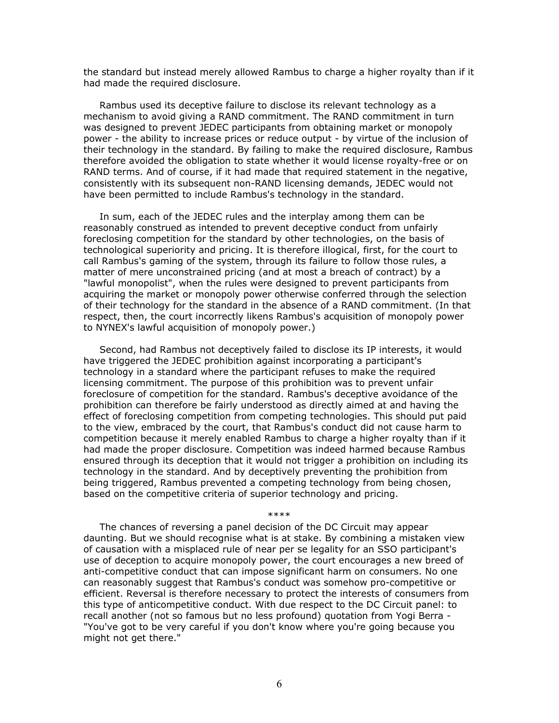the standard but instead merely allowed Rambus to charge a higher royalty than if it had made the required disclosure.

 Rambus used its deceptive failure to disclose its relevant technology as a mechanism to avoid giving a RAND commitment. The RAND commitment in turn was designed to prevent JEDEC participants from obtaining market or monopoly power - the ability to increase prices or reduce output - by virtue of the inclusion of their technology in the standard. By failing to make the required disclosure, Rambus therefore avoided the obligation to state whether it would license royalty-free or on RAND terms. And of course, if it had made that required statement in the negative, consistently with its subsequent non-RAND licensing demands, JEDEC would not have been permitted to include Rambus's technology in the standard.

 In sum, each of the JEDEC rules and the interplay among them can be reasonably construed as intended to prevent deceptive conduct from unfairly foreclosing competition for the standard by other technologies, on the basis of technological superiority and pricing. It is therefore illogical, first, for the court to call Rambus's gaming of the system, through its failure to follow those rules, a matter of mere unconstrained pricing (and at most a breach of contract) by a "lawful monopolist", when the rules were designed to prevent participants from acquiring the market or monopoly power otherwise conferred through the selection of their technology for the standard in the absence of a RAND commitment. (In that respect, then, the court incorrectly likens Rambus's acquisition of monopoly power to NYNEX's lawful acquisition of monopoly power.)

 Second, had Rambus not deceptively failed to disclose its IP interests, it would have triggered the JEDEC prohibition against incorporating a participant's technology in a standard where the participant refuses to make the required licensing commitment. The purpose of this prohibition was to prevent unfair foreclosure of competition for the standard. Rambus's deceptive avoidance of the prohibition can therefore be fairly understood as directly aimed at and having the effect of foreclosing competition from competing technologies. This should put paid to the view, embraced by the court, that Rambus's conduct did not cause harm to competition because it merely enabled Rambus to charge a higher royalty than if it had made the proper disclosure. Competition was indeed harmed because Rambus ensured through its deception that it would not trigger a prohibition on including its technology in the standard. And by deceptively preventing the prohibition from being triggered, Rambus prevented a competing technology from being chosen, based on the competitive criteria of superior technology and pricing.

\*\*\*\*

 The chances of reversing a panel decision of the DC Circuit may appear daunting. But we should recognise what is at stake. By combining a mistaken view of causation with a misplaced rule of near per se legality for an SSO participant's use of deception to acquire monopoly power, the court encourages a new breed of anti-competitive conduct that can impose significant harm on consumers. No one can reasonably suggest that Rambus's conduct was somehow pro-competitive or efficient. Reversal is therefore necessary to protect the interests of consumers from this type of anticompetitive conduct. With due respect to the DC Circuit panel: to recall another (not so famous but no less profound) quotation from Yogi Berra - "You've got to be very careful if you don't know where you're going because you might not get there."